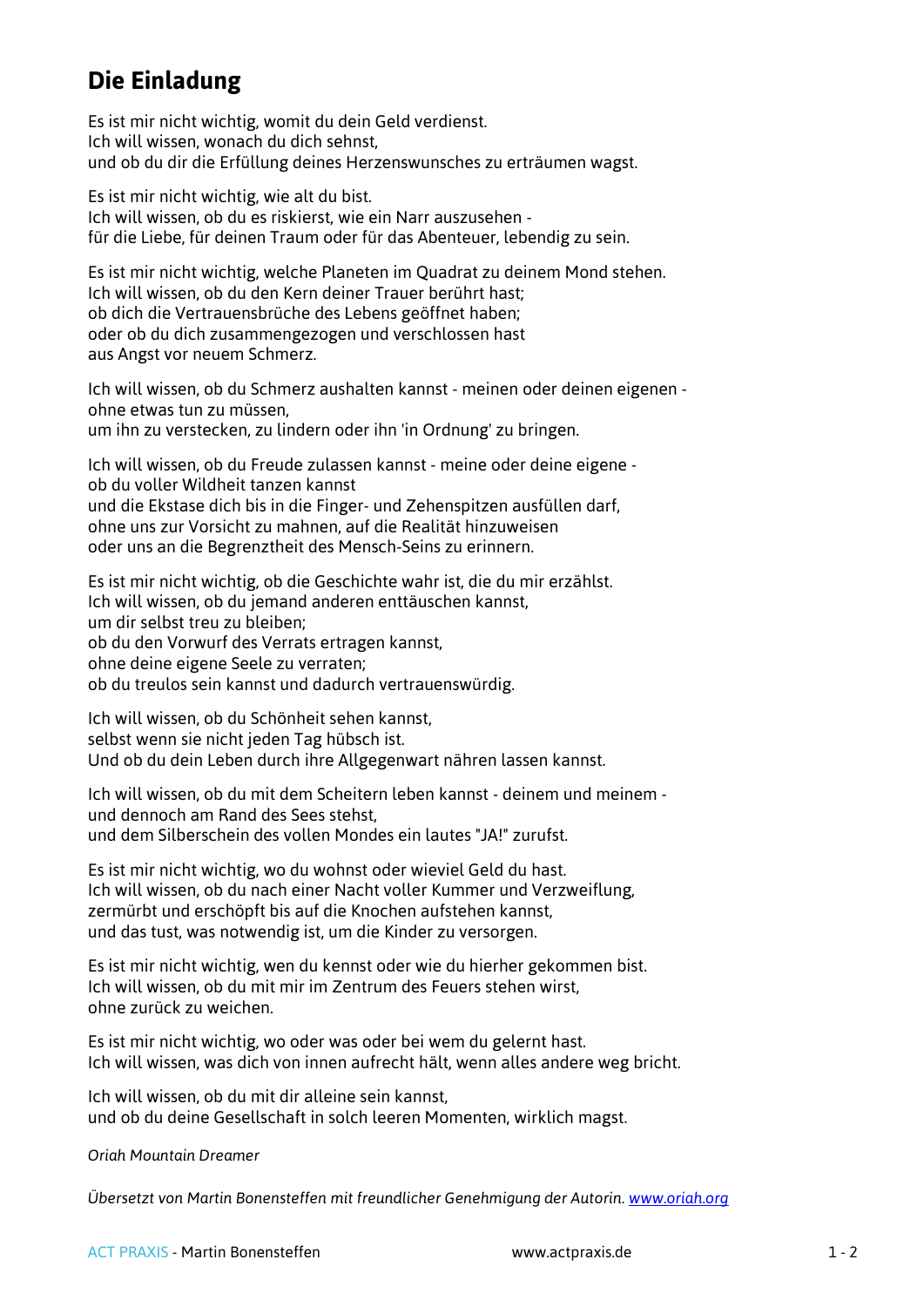## **Die Einladung**

Es ist mir nicht wichtig, womit du dein Geld verdienst. Ich will wissen, wonach du dich sehnst, und ob du dir die Erfüllung deines Herzenswunsches zu erträumen wagst.

Es ist mir nicht wichtig, wie alt du bist. Ich will wissen, ob du es riskierst, wie ein Narr auszusehen für die Liebe, für deinen Traum oder für das Abenteuer, lebendig zu sein.

Es ist mir nicht wichtig, welche Planeten im Quadrat zu deinem Mond stehen. Ich will wissen, ob du den Kern deiner Trauer berührt hast; ob dich die Vertrauensbrüche des Lebens geöffnet haben; oder ob du dich zusammengezogen und verschlossen hast aus Angst vor neuem Schmerz.

Ich will wissen, ob du Schmerz aushalten kannst - meinen oder deinen eigenen ohne etwas tun zu müssen,

um ihn zu verstecken, zu lindern oder ihn 'in Ordnung' zu bringen.

Ich will wissen, ob du Freude zulassen kannst - meine oder deine eigene ob du voller Wildheit tanzen kannst und die Ekstase dich bis in die Finger- und Zehenspitzen ausfüllen darf, ohne uns zur Vorsicht zu mahnen, auf die Realität hinzuweisen oder uns an die Begrenztheit des Mensch-Seins zu erinnern.

Es ist mir nicht wichtig, ob die Geschichte wahr ist, die du mir erzählst. Ich will wissen, ob du jemand anderen enttäuschen kannst, um dir selbst treu zu bleiben;

ob du den Vorwurf des Verrats ertragen kannst,

ohne deine eigene Seele zu verraten;

ob du treulos sein kannst und dadurch vertrauenswürdig.

Ich will wissen, ob du Schönheit sehen kannst, selbst wenn sie nicht jeden Tag hübsch ist. Und ob du dein Leben durch ihre Allgegenwart nähren lassen kannst.

Ich will wissen, ob du mit dem Scheitern leben kannst - deinem und meinem und dennoch am Rand des Sees stehst, und dem Silberschein des vollen Mondes ein lautes "JA!" zurufst.

Es ist mir nicht wichtig, wo du wohnst oder wieviel Geld du hast. Ich will wissen, ob du nach einer Nacht voller Kummer und Verzweiflung, zermürbt und erschöpft bis auf die Knochen aufstehen kannst, und das tust, was notwendig ist, um die Kinder zu versorgen.

Es ist mir nicht wichtig, wen du kennst oder wie du hierher gekommen bist. Ich will wissen, ob du mit mir im Zentrum des Feuers stehen wirst, ohne zurück zu weichen.

Es ist mir nicht wichtig, wo oder was oder bei wem du gelernt hast. Ich will wissen, was dich von innen aufrecht hält, wenn alles andere weg bricht.

Ich will wissen, ob du mit dir alleine sein kannst, und ob du deine Gesellschaft in solch leeren Momenten, wirklich magst.

*Oriah Mountain Dreamer*

*Übersetzt von Martin Bonensteffen mit freundlicher Genehmigung der Autorin. [www.oriah.org](http://www.oriah.org/)*